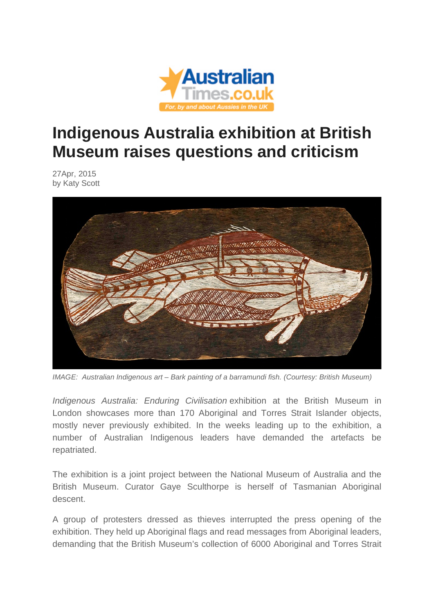

## **Indigenous Australia exhibition at British Museum raises questions and criticism**

27Apr, 2015 by Katy Scott



*IMAGE: Australian Indigenous art – Bark painting of a barramundi fish. (Courtesy: British Museum)*

*Indigenous Australia: Enduring Civilisation* exhibition at the British Museum in London showcases more than 170 Aboriginal and Torres Strait Islander objects, mostly never previously exhibited. In the weeks leading up to the exhibition, a number of Australian Indigenous leaders have demanded the artefacts be repatriated.

The exhibition is a joint project between the National Museum of Australia and the British Museum. Curator Gaye Sculthorpe is herself of Tasmanian Aboriginal descent.

A group of protesters dressed as thieves interrupted the press opening of the exhibition. They held up Aboriginal flags and read messages from Aboriginal leaders, demanding that the British Museum's collection of 6000 Aboriginal and Torres Strait